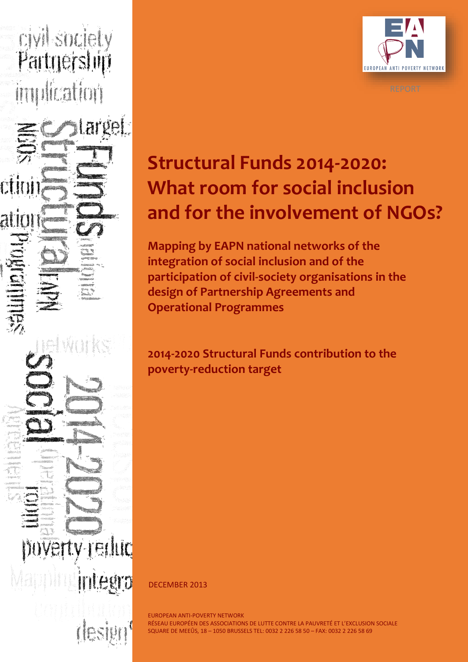**Evilsodely**<br>Partnership Bunda

WH

**Vertv-reduc** 

 $\mathfrak{g}[\mathbf{p}]$  :



# **Structural Funds 2014-2020: What room for social inclusion and for the involvement of NGOs?**

**Mapping by EAPN national networks of the integration of social inclusion and of the participation of civil-society organisations in the design of Partnership Agreements and Operational Programmes**

**2014-2020 Structural Funds contribution to the poverty-reduction target**

DECEMBER 2013

EUROPEAN ANTI-POVERTY NETWORK<br>RÉSEAU EUROPÉEN DES ASSOCIATIONS DE LUTTE CONTRE LA PAUVRETÉ ET L'EXCLUSION SOCIALE EUROPEAN ANTI-POVERTY NETWORK SQUARE DE MEEÛS, 18 – 1050 BRUSSELS TEL: 0032 2 226 58 50 – FAX: 0032 2 226 58 69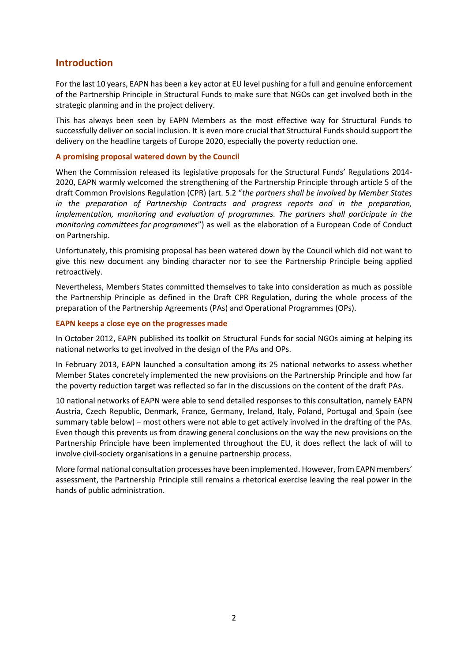# **Introduction**

For the last 10 years, EAPN has been a key actor at EU level pushing for a full and genuine enforcement of the Partnership Principle in Structural Funds to make sure that NGOs can get involved both in the strategic planning and in the project delivery.

This has always been seen by EAPN Members as the most effective way for Structural Funds to successfully deliver on social inclusion. It is even more crucial that Structural Funds should support the delivery on the headline targets of Europe 2020, especially the poverty reduction one.

#### **A promising proposal watered down by the Council**

When the Commission released its legislative proposals for the Structural Funds' Regulations 2014- 2020, EAPN warmly welcomed the strengthening of the Partnership Principle through article 5 of the draft Common Provisions Regulation (CPR) (art. 5.2 "*the partners shall be involved by Member States in the preparation of Partnership Contracts and progress reports and in the preparation, implementation, monitoring and evaluation of programmes. The partners shall participate in the monitoring committees for programmes*") as well as the elaboration of a European Code of Conduct on Partnership.

Unfortunately, this promising proposal has been watered down by the Council which did not want to give this new document any binding character nor to see the Partnership Principle being applied retroactively.

Nevertheless, Members States committed themselves to take into consideration as much as possible the Partnership Principle as defined in the Draft CPR Regulation, during the whole process of the preparation of the Partnership Agreements (PAs) and Operational Programmes (OPs).

#### **EAPN keeps a close eye on the progresses made**

In October 2012, EAPN published its toolkit on Structural Funds for social NGOs aiming at helping its national networks to get involved in the design of the PAs and OPs.

In February 2013, EAPN launched a consultation among its 25 national networks to assess whether Member States concretely implemented the new provisions on the Partnership Principle and how far the poverty reduction target was reflected so far in the discussions on the content of the draft PAs.

10 national networks of EAPN were able to send detailed responses to this consultation, namely EAPN Austria, Czech Republic, Denmark, France, Germany, Ireland, Italy, Poland, Portugal and Spain (see summary table below) – most others were not able to get actively involved in the drafting of the PAs. Even though this prevents us from drawing general conclusions on the way the new provisions on the Partnership Principle have been implemented throughout the EU, it does reflect the lack of will to involve civil-society organisations in a genuine partnership process.

More formal national consultation processes have been implemented. However, from EAPN members' assessment, the Partnership Principle still remains a rhetorical exercise leaving the real power in the hands of public administration.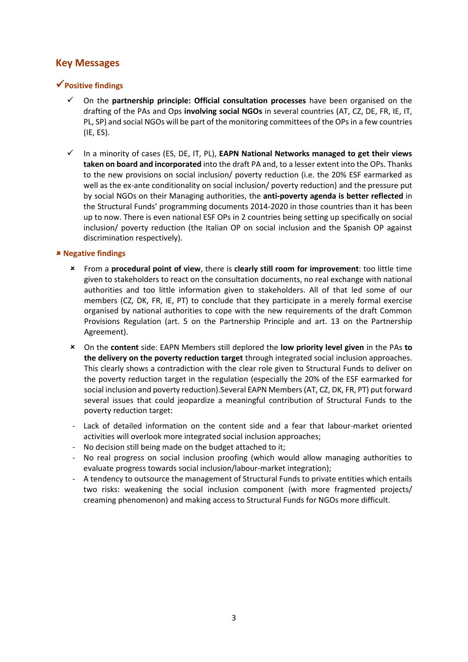# **Key Messages**

# **Positive findings**

- On the **partnership principle: Official consultation processes** have been organised on the drafting of the PAs and Ops **involving social NGOs** in several countries (AT, CZ, DE, FR, IE, IT, PL, SP) and social NGOs will be part of the monitoring committees of the OPs in a few countries (IE, ES).
- In a minority of cases (ES, DE, IT, PL), **EAPN National Networks managed to get their views taken on board and incorporated** into the draft PA and, to a lesser extent into the OPs. Thanks to the new provisions on social inclusion/ poverty reduction (i.e. the 20% ESF earmarked as well as the ex-ante conditionality on social inclusion/ poverty reduction) and the pressure put by social NGOs on their Managing authorities, the **anti-poverty agenda is better reflected** in the Structural Funds' programming documents 2014-2020 in those countries than it has been up to now. There is even national ESF OPs in 2 countries being setting up specifically on social inclusion/ poverty reduction (the Italian OP on social inclusion and the Spanish OP against discrimination respectively).

### **Negative findings**

- From a **procedural point of view**, there is **clearly still room for improvement**: too little time given to stakeholders to react on the consultation documents, no real exchange with national authorities and too little information given to stakeholders. All of that led some of our members (CZ, DK, FR, IE, PT) to conclude that they participate in a merely formal exercise organised by national authorities to cope with the new requirements of the draft Common Provisions Regulation (art. 5 on the Partnership Principle and art. 13 on the Partnership Agreement).
- On the **content** side: EAPN Members still deplored the **low priority level given** in the PAs **to the delivery on the poverty reduction target** through integrated social inclusion approaches. This clearly shows a contradiction with the clear role given to Structural Funds to deliver on the poverty reduction target in the regulation (especially the 20% of the ESF earmarked for social inclusion and poverty reduction).Several EAPN Members(AT, CZ, DK, FR, PT) put forward several issues that could jeopardize a meaningful contribution of Structural Funds to the poverty reduction target:
- Lack of detailed information on the content side and a fear that labour-market oriented activities will overlook more integrated social inclusion approaches;
- No decision still being made on the budget attached to it;
- No real progress on social inclusion proofing (which would allow managing authorities to evaluate progress towards social inclusion/labour-market integration);
- A tendency to outsource the management of Structural Funds to private entities which entails two risks: weakening the social inclusion component (with more fragmented projects/ creaming phenomenon) and making access to Structural Funds for NGOs more difficult.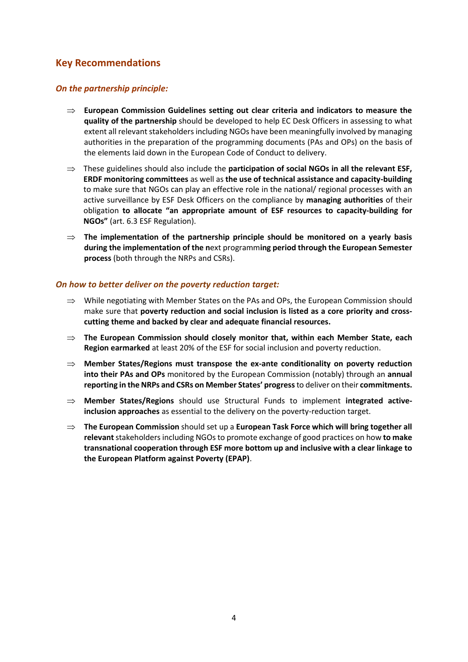# **Key Recommendations**

#### *On the partnership principle:*

- $\Rightarrow$  European Commission Guidelines setting out clear criteria and indicators to measure the **quality of the partnership** should be developed to help EC Desk Officers in assessing to what extent all relevant stakeholders including NGOs have been meaningfully involved by managing authorities in the preparation of the programming documents (PAs and OPs) on the basis of the elements laid down in the European Code of Conduct to delivery.
- $\Rightarrow$  These guidelines should also include the **participation of social NGOs in all the relevant ESF, ERDF monitoring committees** as well as **the use of technical assistance and capacity-building** to make sure that NGOs can play an effective role in the national/ regional processes with an active surveillance by ESF Desk Officers on the compliance by **managing authorities** of their obligation **to allocate "an appropriate amount of ESF resources to capacity-building for NGOs"** (art. 6.3 ESF Regulation).
- **The implementation of the partnership principle should be monitored on a yearly basis during the implementation of the n**ext programm**ing period through the European Semester process** (both through the NRPs and CSRs).

#### *On how to better deliver on the poverty reduction target:*

- $\implies$  While negotiating with Member States on the PAs and OPs, the European Commission should make sure that **poverty reduction and social inclusion is listed as a core priority and crosscutting theme and backed by clear and adequate financial resources.**
- **The European Commission should closely monitor that, within each Member State, each Region earmarked** at least 20% of the ESF for social inclusion and poverty reduction.
- **Member States/Regions must transpose the ex-ante conditionality on poverty reduction into their PAs and OPs** monitored by the European Commission (notably) through an **annual reporting in the NRPs and CSRs on Member States' progress**to deliver on their **commitments.**
- **Member States/Regions** should use Structural Funds to implement **integrated activeinclusion approaches** as essential to the delivery on the poverty-reduction target.
- **The European Commission** should set up a **European Task Force which will bring together all relevant** stakeholders including NGOs to promote exchange of good practices on how **to make transnational cooperation through ESF more bottom up and inclusive with a clear linkage to the European Platform against Poverty (EPAP)**.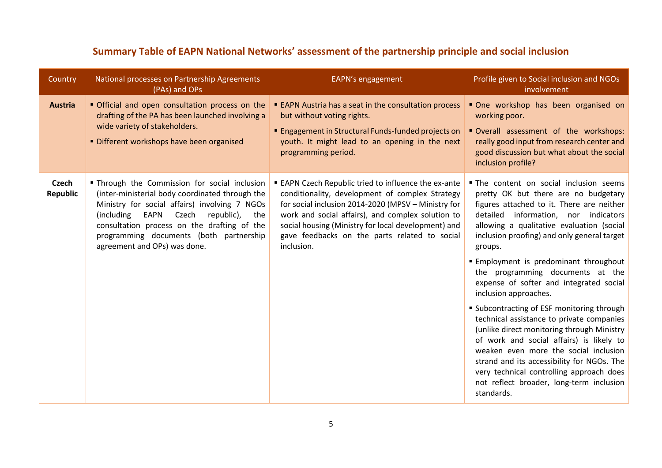| Country                         | National processes on Partnership Agreements<br>(PAs) and OPs                                                                                                                                                                                                                                                                    | EAPN's engagement                                                                                                                                                                                                                                                                                                                              | Profile given to Social inclusion and NGOs<br>involvement                                                                                                                                                                                                                                                                                                                                                                                                                                                                                                                                                                                                                                                                                                                                                     |
|---------------------------------|----------------------------------------------------------------------------------------------------------------------------------------------------------------------------------------------------------------------------------------------------------------------------------------------------------------------------------|------------------------------------------------------------------------------------------------------------------------------------------------------------------------------------------------------------------------------------------------------------------------------------------------------------------------------------------------|---------------------------------------------------------------------------------------------------------------------------------------------------------------------------------------------------------------------------------------------------------------------------------------------------------------------------------------------------------------------------------------------------------------------------------------------------------------------------------------------------------------------------------------------------------------------------------------------------------------------------------------------------------------------------------------------------------------------------------------------------------------------------------------------------------------|
| <b>Austria</b>                  | • Official and open consultation process on the<br>drafting of the PA has been launched involving a<br>wide variety of stakeholders.<br>Different workshops have been organised                                                                                                                                                  | <b>EAPN Austria has a seat in the consultation process</b><br>but without voting rights.<br><b>Engagement in Structural Funds-funded projects on</b><br>youth. It might lead to an opening in the next<br>programming period.                                                                                                                  | One workshop has been organised on<br>working poor.<br>Overall assessment of the workshops:<br>really good input from research center and<br>good discussion but what about the social<br>inclusion profile?                                                                                                                                                                                                                                                                                                                                                                                                                                                                                                                                                                                                  |
| <b>Czech</b><br><b>Republic</b> | " Through the Commission for social inclusion<br>(inter-ministerial body coordinated through the<br>Ministry for social affairs) involving 7 NGOs<br>EAPN<br>Czech<br>republic),<br>(including)<br>the<br>consultation process on the drafting of the<br>programming documents (both partnership<br>agreement and OPs) was done. | <b>EAPN Czech Republic tried to influence the ex-ante</b><br>conditionality, development of complex Strategy<br>for social inclusion 2014-2020 (MPSV - Ministry for<br>work and social affairs), and complex solution to<br>social housing (Ministry for local development) and<br>gave feedbacks on the parts related to social<br>inclusion. | . The content on social inclusion seems<br>pretty OK but there are no budgetary<br>figures attached to it. There are neither<br>detailed information, nor indicators<br>allowing a qualitative evaluation (social<br>inclusion proofing) and only general target<br>groups.<br>Employment is predominant throughout<br>the programming documents at the<br>expense of softer and integrated social<br>inclusion approaches.<br>" Subcontracting of ESF monitoring through<br>technical assistance to private companies<br>(unlike direct monitoring through Ministry<br>of work and social affairs) is likely to<br>weaken even more the social inclusion<br>strand and its accessibility for NGOs. The<br>very technical controlling approach does<br>not reflect broader, long-term inclusion<br>standards. |

# **Summary Table of EAPN National Networks' assessment of the partnership principle and social inclusion**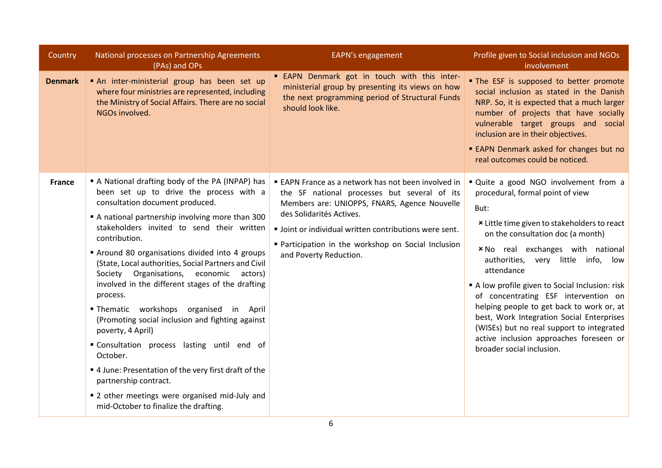| Country        | National processes on Partnership Agreements<br>(PAs) and OPs                                                                                                                                                                                                                                                                                                                                                                                                                                                                                                                                                                                                                                                                                                                                                                  | EAPN's engagement                                                                                                                                                                                                                                                                                                          | Profile given to Social inclusion and NGOs<br>involvement                                                                                                                                                                                                                                                                                                                                                                                                                                                                                                                     |
|----------------|--------------------------------------------------------------------------------------------------------------------------------------------------------------------------------------------------------------------------------------------------------------------------------------------------------------------------------------------------------------------------------------------------------------------------------------------------------------------------------------------------------------------------------------------------------------------------------------------------------------------------------------------------------------------------------------------------------------------------------------------------------------------------------------------------------------------------------|----------------------------------------------------------------------------------------------------------------------------------------------------------------------------------------------------------------------------------------------------------------------------------------------------------------------------|-------------------------------------------------------------------------------------------------------------------------------------------------------------------------------------------------------------------------------------------------------------------------------------------------------------------------------------------------------------------------------------------------------------------------------------------------------------------------------------------------------------------------------------------------------------------------------|
| <b>Denmark</b> | An inter-ministerial group has been set up<br>where four ministries are represented, including<br>the Ministry of Social Affairs. There are no social<br>NGOs involved.                                                                                                                                                                                                                                                                                                                                                                                                                                                                                                                                                                                                                                                        | " EAPN Denmark got in touch with this inter-<br>ministerial group by presenting its views on how<br>the next programming period of Structural Funds<br>should look like.                                                                                                                                                   | . The ESF is supposed to better promote<br>social inclusion as stated in the Danish<br>NRP. So, it is expected that a much larger<br>number of projects that have socially<br>vulnerable target groups and social<br>inclusion are in their objectives.<br>■ EAPN Denmark asked for changes but no<br>real outcomes could be noticed.                                                                                                                                                                                                                                         |
| <b>France</b>  | A National drafting body of the PA (INPAP) has<br>been set up to drive the process with a<br>consultation document produced.<br>A national partnership involving more than 300<br>stakeholders invited to send their written<br>contribution.<br>Around 80 organisations divided into 4 groups<br>(State, Local authorities, Social Partners and Civil<br>Society Organisations, economic<br>actors)<br>involved in the different stages of the drafting<br>process.<br>"Thematic workshops organised in April<br>(Promoting social inclusion and fighting against<br>poverty, 4 April)<br>"Consultation process lasting until end of<br>October.<br>" 4 June: Presentation of the very first draft of the<br>partnership contract.<br>" 2 other meetings were organised mid-July and<br>mid-October to finalize the drafting. | ■ EAPN France as a network has not been involved in<br>the SF national processes but several of its<br>Members are: UNIOPPS, FNARS, Agence Nouvelle<br>des Solidarités Actives.<br>• Joint or individual written contributions were sent.<br>" Participation in the workshop on Social Inclusion<br>and Poverty Reduction. | " Quite a good NGO involvement from a<br>procedural, formal point of view<br>But:<br>* Little time given to stakeholders to react<br>on the consultation doc (a month)<br><b>*No</b> real exchanges with national<br>authorities, very little info, low<br>attendance<br>A low profile given to Social Inclusion: risk<br>of concentrating ESF intervention on<br>helping people to get back to work or, at<br>best, Work Integration Social Enterprises<br>(WISEs) but no real support to integrated<br>active inclusion approaches foreseen or<br>broader social inclusion. |
|                |                                                                                                                                                                                                                                                                                                                                                                                                                                                                                                                                                                                                                                                                                                                                                                                                                                | 6                                                                                                                                                                                                                                                                                                                          |                                                                                                                                                                                                                                                                                                                                                                                                                                                                                                                                                                               |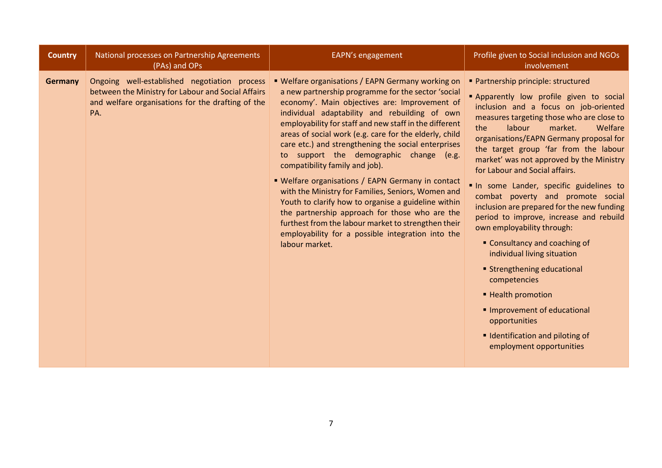| National processes on Partnership Agreements<br>EAPN's engagement<br><b>Country</b><br>(PAs) and OPs                                                                                                                                                                                                                                                                                                                                                                                                                                                                                                                                                                                                                                                                                                                                                                                                                                                                                                    | Profile given to Social inclusion and NGOs<br>involvement                                                                                                                                                                                                                                                                                                                                                                                                                                                                                                                                                                                                                                                                                                                                                                              |
|---------------------------------------------------------------------------------------------------------------------------------------------------------------------------------------------------------------------------------------------------------------------------------------------------------------------------------------------------------------------------------------------------------------------------------------------------------------------------------------------------------------------------------------------------------------------------------------------------------------------------------------------------------------------------------------------------------------------------------------------------------------------------------------------------------------------------------------------------------------------------------------------------------------------------------------------------------------------------------------------------------|----------------------------------------------------------------------------------------------------------------------------------------------------------------------------------------------------------------------------------------------------------------------------------------------------------------------------------------------------------------------------------------------------------------------------------------------------------------------------------------------------------------------------------------------------------------------------------------------------------------------------------------------------------------------------------------------------------------------------------------------------------------------------------------------------------------------------------------|
| Ongoing well-established negotiation process<br>■ Welfare organisations / EAPN Germany working on<br><b>Germany</b><br>between the Ministry for Labour and Social Affairs<br>a new partnership programme for the sector 'social<br>and welfare organisations for the drafting of the<br>economy'. Main objectives are: Improvement of<br>individual adaptability and rebuilding of own<br>PA.<br>employability for staff and new staff in the different<br>areas of social work (e.g. care for the elderly, child<br>care etc.) and strengthening the social enterprises<br>to support the demographic change (e.g.<br>compatibility family and job).<br>• Welfare organisations / EAPN Germany in contact<br>with the Ministry for Families, Seniors, Women and<br>Youth to clarify how to organise a guideline within<br>the partnership approach for those who are the<br>furthest from the labour market to strengthen their<br>employability for a possible integration into the<br>labour market. | • Partnership principle: structured<br>Apparently low profile given to social<br>inclusion and a focus on job-oriented<br>measures targeting those who are close to<br>Welfare<br>labour<br>market.<br>the<br>organisations/EAPN Germany proposal for<br>the target group 'far from the labour<br>market' was not approved by the Ministry<br>for Labour and Social affairs.<br>In some Lander, specific guidelines to<br>combat poverty and promote social<br>inclusion are prepared for the new funding<br>period to improve, increase and rebuild<br>own employability through:<br>• Consultancy and coaching of<br>individual living situation<br>■ Strengthening educational<br>competencies<br>■ Health promotion<br>Improvement of educational<br>opportunities<br>I Identification and piloting of<br>employment opportunities |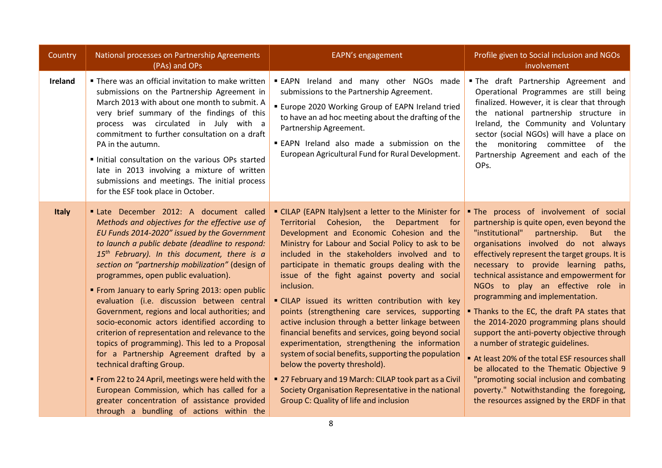| Country      | National processes on Partnership Agreements<br>(PAs) and OPs                                                                                                                                                                                                                                                                                                                                                                                                                                                                                                                                                                                                                                                                                                                                                                                                                                                                             | EAPN's engagement                                                                                                                                                                                                                                                                                                                                                                                                                                                                                                                                                                                                                                                                                                                                                                                                                                                                              | Profile given to Social inclusion and NGOs<br>involvement                                                                                                                                                                                                                                                                                                                                                                                                                                                                                                                                                                                                                                                                                                                                               |
|--------------|-------------------------------------------------------------------------------------------------------------------------------------------------------------------------------------------------------------------------------------------------------------------------------------------------------------------------------------------------------------------------------------------------------------------------------------------------------------------------------------------------------------------------------------------------------------------------------------------------------------------------------------------------------------------------------------------------------------------------------------------------------------------------------------------------------------------------------------------------------------------------------------------------------------------------------------------|------------------------------------------------------------------------------------------------------------------------------------------------------------------------------------------------------------------------------------------------------------------------------------------------------------------------------------------------------------------------------------------------------------------------------------------------------------------------------------------------------------------------------------------------------------------------------------------------------------------------------------------------------------------------------------------------------------------------------------------------------------------------------------------------------------------------------------------------------------------------------------------------|---------------------------------------------------------------------------------------------------------------------------------------------------------------------------------------------------------------------------------------------------------------------------------------------------------------------------------------------------------------------------------------------------------------------------------------------------------------------------------------------------------------------------------------------------------------------------------------------------------------------------------------------------------------------------------------------------------------------------------------------------------------------------------------------------------|
| Ireland      | " There was an official invitation to make written<br>submissions on the Partnership Agreement in<br>March 2013 with about one month to submit. A<br>very brief summary of the findings of this<br>process was circulated in July with a<br>commitment to further consultation on a draft<br>PA in the autumn.<br>Initial consultation on the various OPs started<br>late in 2013 involving a mixture of written<br>submissions and meetings. The initial process<br>for the ESF took place in October.                                                                                                                                                                                                                                                                                                                                                                                                                                   | <b>EAPN</b> Ireland and many other NGOs made<br>submissions to the Partnership Agreement.<br><b>Europe 2020 Working Group of EAPN Ireland tried</b><br>to have an ad hoc meeting about the drafting of the<br>Partnership Agreement.<br><b>EAPN</b> Ireland also made a submission on the<br>European Agricultural Fund for Rural Development.                                                                                                                                                                                                                                                                                                                                                                                                                                                                                                                                                 | . The draft Partnership Agreement and<br>Operational Programmes are still being<br>finalized. However, it is clear that through<br>the national partnership structure in<br>Ireland, the Community and Voluntary<br>sector (social NGOs) will have a place on<br>the monitoring committee of the<br>Partnership Agreement and each of the<br>OPs.                                                                                                                                                                                                                                                                                                                                                                                                                                                       |
| <b>Italy</b> | Late December 2012: A document called<br>Methods and objectives for the effective use of<br>EU Funds 2014-2020" issued by the Government<br>to launch a public debate (deadline to respond:<br>15 <sup>th</sup> February). In this document, there is a<br>section on "partnership mobilization" (design of<br>programmes, open public evaluation).<br>" From January to early Spring 2013: open public<br>evaluation (i.e. discussion between central<br>Government, regions and local authorities; and<br>socio-economic actors identified according to<br>criterion of representation and relevance to the<br>topics of programming). This led to a Proposal<br>for a Partnership Agreement drafted by a<br>technical drafting Group.<br>" From 22 to 24 April, meetings were held with the<br>European Commission, which has called for a<br>greater concentration of assistance provided<br>through a bundling of actions within the | " CILAP (EAPN Italy)sent a letter to the Minister for<br>Territorial Cohesion, the Department for<br>Development and Economic Cohesion and the<br>Ministry for Labour and Social Policy to ask to be<br>included in the stakeholders involved and to<br>participate in thematic groups dealing with the<br>issue of the fight against poverty and social<br>inclusion.<br>CILAP issued its written contribution with key<br>points (strengthening care services, supporting<br>active inclusion through a better linkage between<br>financial benefits and services, going beyond social<br>experimentation, strengthening the information<br>system of social benefits, supporting the population<br>below the poverty threshold).<br>■ 27 February and 19 March: CILAP took part as a Civil<br>Society Organisation Representative in the national<br>Group C: Quality of life and inclusion | . The process of involvement of social<br>partnership is quite open, even beyond the<br>"institutional"<br>partnership.<br>But the<br>organisations involved do not always<br>effectively represent the target groups. It is<br>necessary to provide learning paths,<br>technical assistance and empowerment for<br>NGOs to play an effective role in<br>programming and implementation.<br>Thanks to the EC, the draft PA states that<br>the 2014-2020 programming plans should<br>support the anti-poverty objective through<br>a number of strategic guidelines.<br>At least 20% of the total ESF resources shall<br>be allocated to the Thematic Objective 9<br>"promoting social inclusion and combating<br>poverty." Notwithstanding the foregoing,<br>the resources assigned by the ERDF in that |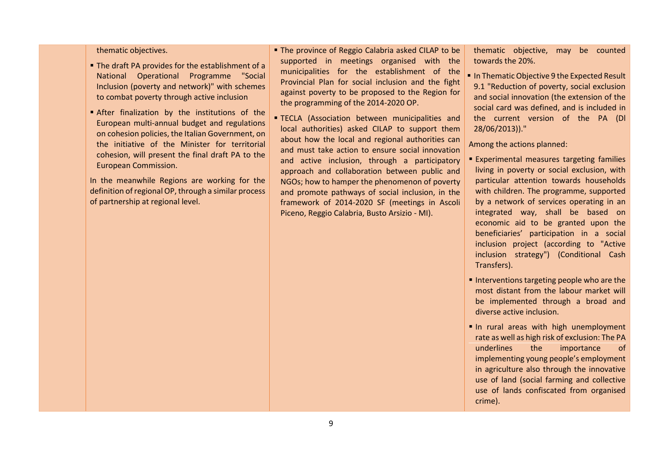#### thematic objectives.

- The draft PA provides for the establishment of a National Operational Programme "Social Inclusion (poverty and network)" with schemes to combat poverty through active inclusion
- After finalization by the institutions of the European multi-annual budget and regulations on cohesion policies, the Italian Government, on the initiative of the Minister for territorial cohesion, will present the final draft PA to the European Commission.

In the meanwhile Regions are working for the definition of regional OP, through a similar process of partnership at regional level.

■ The province of Reggio Calabria asked CILAP to be supported in meetings organised with the municipalities for the establishment of the Provincial Plan for social inclusion and the fight against poverty to be proposed to the Region for the programming of the 2014-2020 OP.

**TECLA** (Association between municipalities and local authorities) asked CILAP to support them about how the local and regional authorities can and must take action to ensure social innovation and active inclusion, through a participatory approach and collaboration between public and NGOs; how to hamper the phenomenon of poverty and promote pathways of social inclusion, in the framework of 2014-2020 SF (meetings in Ascoli Piceno, Reggio Calabria, Busto Arsizio - MI).

thematic objective, may be counted towards the 20%.

In Thematic Objective 9 the Expected Result 9.1 "Reduction of poverty, social exclusion and social innovation (the extension of the social card was defined, and is included in the current version of the PA (Dl 28/06/2013))."

Among the actions planned:

- Experimental measures targeting families living in poverty or social exclusion, with particular attention towards households with children. The programme, supported by a network of services operating in an integrated way, shall be based on economic aid to be granted upon the beneficiaries' participation in a social inclusion project (according to "Active inclusion strategy") (Conditional Cash Transfers).
- Interventions targeting people who are the most distant from the labour market will be implemented through a broad and diverse active inclusion.
- In rural areas with high unemployment rate as well as high risk of exclusion: The PA underlines the importance of implementing young people's employment in agriculture also through the innovative use of land (social farming and collective use of lands confiscated from organised crime).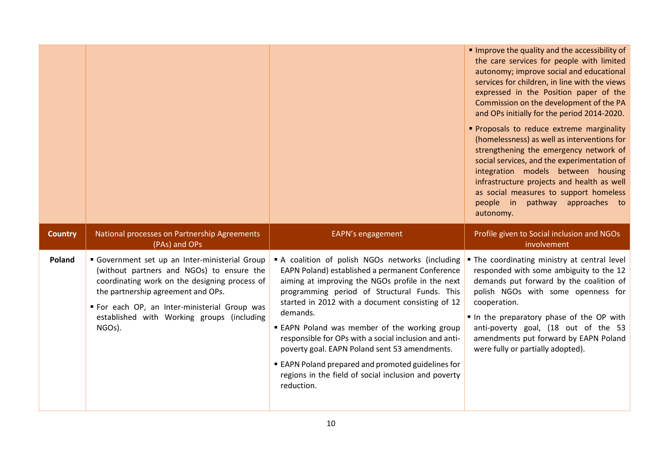|                |                                                               |                   | Improve the quality and the accessibility of<br>the care services for people with limited<br>autonomy; improve social and educational<br>services for children, in line with the views<br>expressed in the Position paper of the<br>Commission on the development of the PA<br>and OPs initially for the period 2014-2020.<br>Proposals to reduce extreme marginality<br>(homelessness) as well as interventions for<br>strengthening the emergency network of<br>social services, and the experimentation of<br>integration models between housing<br>infrastructure projects and health as well<br>as social measures to support homeless<br>people in pathway approaches to<br>autonomy. |
|----------------|---------------------------------------------------------------|-------------------|---------------------------------------------------------------------------------------------------------------------------------------------------------------------------------------------------------------------------------------------------------------------------------------------------------------------------------------------------------------------------------------------------------------------------------------------------------------------------------------------------------------------------------------------------------------------------------------------------------------------------------------------------------------------------------------------|
| <b>Country</b> | National processes on Partnership Agreements<br>(PAs) and OPs | EAPN's engagement | Profile given to Social inclusion and NGOs                                                                                                                                                                                                                                                                                                                                                                                                                                                                                                                                                                                                                                                  |
|                |                                                               |                   | involvement                                                                                                                                                                                                                                                                                                                                                                                                                                                                                                                                                                                                                                                                                 |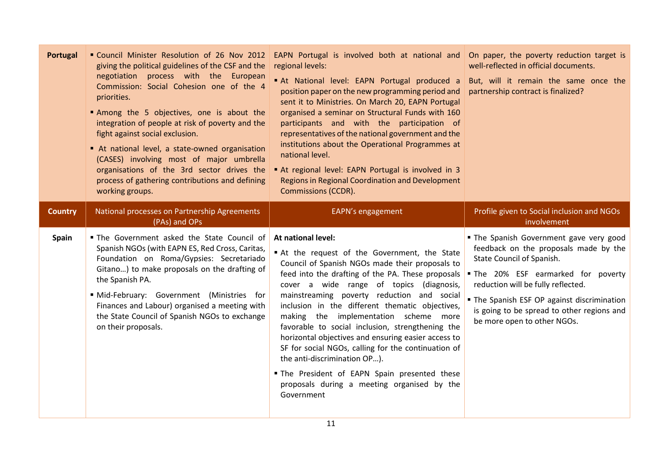| Portugal       | " Council Minister Resolution of 26 Nov 2012<br>giving the political guidelines of the CSF and the<br>negotiation process with the European<br>Commission: Social Cohesion one of the 4<br>priorities.<br>Among the 5 objectives, one is about the<br>integration of people at risk of poverty and the<br>fight against social exclusion.<br>At national level, a state-owned organisation<br>(CASES) involving most of major umbrella<br>organisations of the 3rd sector drives the<br>process of gathering contributions and defining<br>working groups. | EAPN Portugal is involved both at national and On paper, the poverty reduction target is<br>regional levels:<br>At National level: EAPN Portugal produced a<br>position paper on the new programming period and<br>sent it to Ministries. On March 20, EAPN Portugal<br>organised a seminar on Structural Funds with 160<br>participants and with the participation of<br>representatives of the national government and the<br>institutions about the Operational Programmes at<br>national level.<br>At regional level: EAPN Portugal is involved in 3<br><b>Regions in Regional Coordination and Development</b><br><b>Commissions (CCDR).</b>                               | well-reflected in official documents.<br>But, will it remain the same once the<br>partnership contract is finalized?                                                                                                                                                                                               |
|----------------|------------------------------------------------------------------------------------------------------------------------------------------------------------------------------------------------------------------------------------------------------------------------------------------------------------------------------------------------------------------------------------------------------------------------------------------------------------------------------------------------------------------------------------------------------------|---------------------------------------------------------------------------------------------------------------------------------------------------------------------------------------------------------------------------------------------------------------------------------------------------------------------------------------------------------------------------------------------------------------------------------------------------------------------------------------------------------------------------------------------------------------------------------------------------------------------------------------------------------------------------------|--------------------------------------------------------------------------------------------------------------------------------------------------------------------------------------------------------------------------------------------------------------------------------------------------------------------|
| <b>Country</b> | National processes on Partnership Agreements<br>(PAs) and OPs                                                                                                                                                                                                                                                                                                                                                                                                                                                                                              | EAPN's engagement                                                                                                                                                                                                                                                                                                                                                                                                                                                                                                                                                                                                                                                               | Profile given to Social inclusion and NGOs<br>involvement                                                                                                                                                                                                                                                          |
| <b>Spain</b>   | . The Government asked the State Council of<br>Spanish NGOs (with EAPN ES, Red Cross, Caritas,<br>Foundation on Roma/Gypsies: Secretariado<br>Gitano) to make proposals on the drafting of<br>the Spanish PA.<br>Mid-February: Government (Ministries for<br>Finances and Labour) organised a meeting with<br>the State Council of Spanish NGOs to exchange<br>on their proposals.                                                                                                                                                                         | At national level:<br>At the request of the Government, the State<br>Council of Spanish NGOs made their proposals to<br>feed into the drafting of the PA. These proposals<br>cover a wide range of topics (diagnosis,<br>mainstreaming poverty reduction and social<br>inclusion in the different thematic objectives,<br>making the implementation scheme more<br>favorable to social inclusion, strengthening the<br>horizontal objectives and ensuring easier access to<br>SF for social NGOs, calling for the continuation of<br>the anti-discrimination OP).<br>. The President of EAPN Spain presented these<br>proposals during a meeting organised by the<br>Government | The Spanish Government gave very good<br>feedback on the proposals made by the<br>State Council of Spanish.<br>. The 20% ESF earmarked for poverty<br>reduction will be fully reflected.<br>The Spanish ESF OP against discrimination<br>is going to be spread to other regions and<br>be more open to other NGOs. |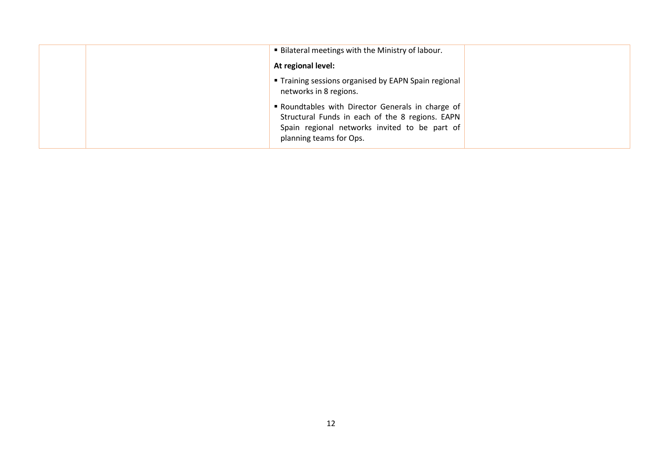|  | <b>Bilateral meetings with the Ministry of labour.</b>                                                                                                                         |  |
|--|--------------------------------------------------------------------------------------------------------------------------------------------------------------------------------|--|
|  | At regional level:                                                                                                                                                             |  |
|  | " Training sessions organised by EAPN Spain regional<br>networks in 8 regions.                                                                                                 |  |
|  | Roundtables with Director Generals in charge of<br>Structural Funds in each of the 8 regions. EAPN<br>Spain regional networks invited to be part of<br>planning teams for Ops. |  |